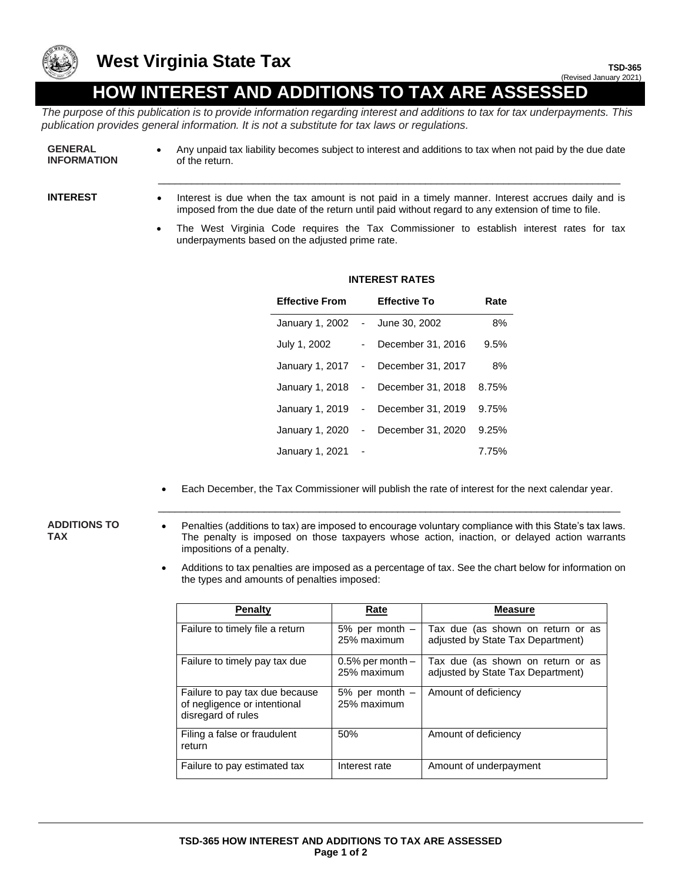

## **West Virginia State Tax**

# **HOW INTEREST AND ADDITIONS TO TAX ARE ASSESSED**

*The purpose of this publication is to provide information regarding interest and additions to tax for tax underpayments. This publication provides general information. It is not a substitute for tax laws or regulations.*

- **GENERAL INFORMATION**
- Any unpaid tax liability becomes subject to interest and additions to tax when not paid by the due date of the return.
- 
- **INTEREST** Interest is due when the tax amount is not paid in a timely manner. Interest accrues daily and is imposed from the due date of the return until paid without regard to any extension of time to file.

\_\_\_\_\_\_\_\_\_\_\_\_\_\_\_\_\_\_\_\_\_\_\_\_\_\_\_\_\_\_\_\_\_\_\_\_\_\_\_\_\_\_\_\_\_\_\_\_\_\_\_\_\_\_\_\_\_\_\_\_\_\_\_\_\_\_\_\_\_\_\_\_\_\_\_\_\_\_\_\_\_\_\_

• The West Virginia Code requires the Tax Commissioner to establish interest rates for tax underpayments based on the adjusted prime rate.

| <b>Effective From</b> |            | <b>Effective To</b> | Rate  |
|-----------------------|------------|---------------------|-------|
| January 1, 2002       | $\sim$ $-$ | June 30, 2002       | 8%    |
| July 1, 2002          |            | December 31, 2016   | 9.5%  |
| January 1, 2017 -     |            | December 31, 2017   | 8%    |
| January 1, 2018       |            | - December 31, 2018 | 8.75% |
| January 1, 2019 -     |            | December 31, 2019   | 9.75% |
| January 1, 2020       | $\sim$ $-$ | December 31, 2020   | 9.25% |
| January 1, 2021       |            |                     | 7.75% |

### **INTEREST RATES**

• Each December, the Tax Commissioner will publish the rate of interest for the next calendar year. \_\_\_\_\_\_\_\_\_\_\_\_\_\_\_\_\_\_\_\_\_\_\_\_\_\_\_\_\_\_\_\_\_\_\_\_\_\_\_\_\_\_\_\_\_\_\_\_\_\_\_\_\_\_\_\_\_\_\_\_\_\_\_\_\_\_\_\_\_\_\_\_\_\_\_\_\_\_\_\_\_\_\_

#### **ADDITIONS TO TAX**

- Penalties (additions to tax) are imposed to encourage voluntary compliance with this State's tax laws. The penalty is imposed on those taxpayers whose action, inaction, or delayed action warrants impositions of a penalty.
- Additions to tax penalties are imposed as a percentage of tax. See the chart below for information on the types and amounts of penalties imposed:

| <b>Penalty</b>                                                                       | Rate                                 | <b>Measure</b>                                                         |
|--------------------------------------------------------------------------------------|--------------------------------------|------------------------------------------------------------------------|
| Failure to timely file a return                                                      | $5\%$ per month $-$<br>25% maximum   | Tax due (as shown on return or as<br>adjusted by State Tax Department) |
| Failure to timely pay tax due                                                        | $0.5\%$ per month $-$<br>25% maximum | Tax due (as shown on return or as<br>adjusted by State Tax Department) |
| Failure to pay tax due because<br>of negligence or intentional<br>disregard of rules | $5\%$ per month $-$<br>25% maximum   | Amount of deficiency                                                   |
| Filing a false or fraudulent<br>return                                               | 50%                                  | Amount of deficiency                                                   |
| Failure to pay estimated tax                                                         | Interest rate                        | Amount of underpayment                                                 |